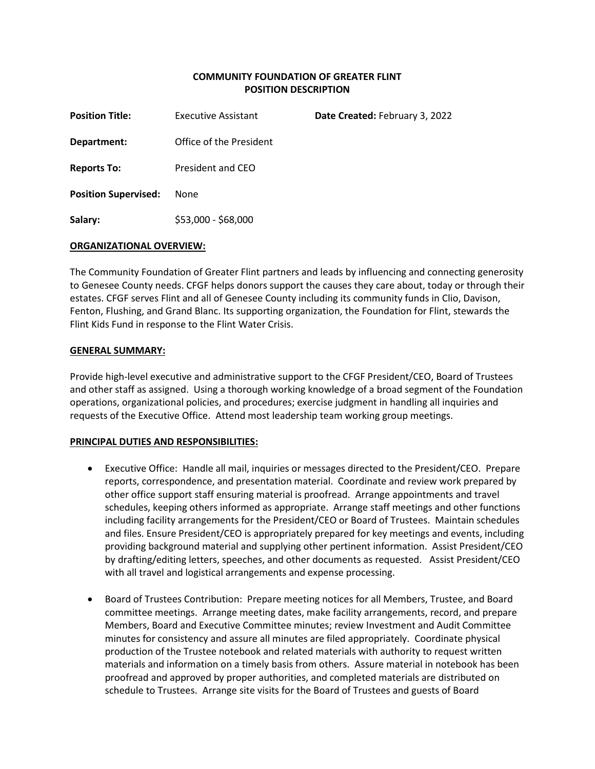# **COMMUNITY FOUNDATION OF GREATER FLINT POSITION DESCRIPTION**

| <b>Position Title:</b>      | <b>Executive Assistant</b> | Date Created: February 3, 2022 |
|-----------------------------|----------------------------|--------------------------------|
| Department:                 | Office of the President    |                                |
| <b>Reports To:</b>          | President and CEO          |                                |
| <b>Position Supervised:</b> | <b>None</b>                |                                |
| Salary:                     | \$53,000 - \$68,000        |                                |

## **ORGANIZATIONAL OVERVIEW:**

The Community Foundation of Greater Flint partners and leads by influencing and connecting generosity to Genesee County needs. CFGF helps donors support the causes they care about, today or through their estates. CFGF serves Flint and all of Genesee County including its community funds in Clio, Davison, Fenton, Flushing, and Grand Blanc. Its supporting organization, the Foundation for Flint, stewards the Flint Kids Fund in response to the Flint Water Crisis.

### **GENERAL SUMMARY:**

Provide high-level executive and administrative support to the CFGF President/CEO, Board of Trustees and other staff as assigned. Using a thorough working knowledge of a broad segment of the Foundation operations, organizational policies, and procedures; exercise judgment in handling all inquiries and requests of the Executive Office. Attend most leadership team working group meetings.

#### **PRINCIPAL DUTIES AND RESPONSIBILITIES:**

- Executive Office: Handle all mail, inquiries or messages directed to the President/CEO. Prepare reports, correspondence, and presentation material. Coordinate and review work prepared by other office support staff ensuring material is proofread. Arrange appointments and travel schedules, keeping others informed as appropriate. Arrange staff meetings and other functions including facility arrangements for the President/CEO or Board of Trustees. Maintain schedules and files. Ensure President/CEO is appropriately prepared for key meetings and events, including providing background material and supplying other pertinent information. Assist President/CEO by drafting/editing letters, speeches, and other documents as requested. Assist President/CEO with all travel and logistical arrangements and expense processing.
- Board of Trustees Contribution: Prepare meeting notices for all Members, Trustee, and Board committee meetings. Arrange meeting dates, make facility arrangements, record, and prepare Members, Board and Executive Committee minutes; review Investment and Audit Committee minutes for consistency and assure all minutes are filed appropriately. Coordinate physical production of the Trustee notebook and related materials with authority to request written materials and information on a timely basis from others. Assure material in notebook has been proofread and approved by proper authorities, and completed materials are distributed on schedule to Trustees. Arrange site visits for the Board of Trustees and guests of Board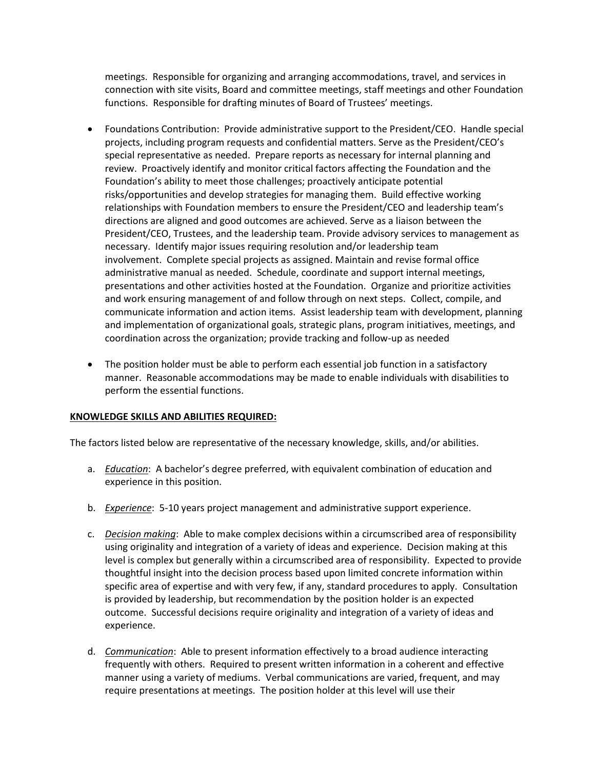meetings. Responsible for organizing and arranging accommodations, travel, and services in connection with site visits, Board and committee meetings, staff meetings and other Foundation functions. Responsible for drafting minutes of Board of Trustees' meetings.

- Foundations Contribution: Provide administrative support to the President/CEO. Handle special projects, including program requests and confidential matters. Serve as the President/CEO's special representative as needed. Prepare reports as necessary for internal planning and review. Proactively identify and monitor critical factors affecting the Foundation and the Foundation's ability to meet those challenges; proactively anticipate potential risks/opportunities and develop strategies for managing them. Build effective working relationships with Foundation members to ensure the President/CEO and leadership team's directions are aligned and good outcomes are achieved. Serve as a liaison between the President/CEO, Trustees, and the leadership team. Provide advisory services to management as necessary. Identify major issues requiring resolution and/or leadership team involvement. Complete special projects as assigned. Maintain and revise formal office administrative manual as needed. Schedule, coordinate and support internal meetings, presentations and other activities hosted at the Foundation. Organize and prioritize activities and work ensuring management of and follow through on next steps. Collect, compile, and communicate information and action items. Assist leadership team with development, planning and implementation of organizational goals, strategic plans, program initiatives, meetings, and coordination across the organization; provide tracking and follow-up as needed
- The position holder must be able to perform each essential job function in a satisfactory manner. Reasonable accommodations may be made to enable individuals with disabilities to perform the essential functions.

## **KNOWLEDGE SKILLS AND ABILITIES REQUIRED:**

The factors listed below are representative of the necessary knowledge, skills, and/or abilities.

- a. *Education*: A bachelor's degree preferred, with equivalent combination of education and experience in this position.
- b. *Experience*: 5-10 years project management and administrative support experience.
- c. *Decision making*: Able to make complex decisions within a circumscribed area of responsibility using originality and integration of a variety of ideas and experience. Decision making at this level is complex but generally within a circumscribed area of responsibility. Expected to provide thoughtful insight into the decision process based upon limited concrete information within specific area of expertise and with very few, if any, standard procedures to apply. Consultation is provided by leadership, but recommendation by the position holder is an expected outcome. Successful decisions require originality and integration of a variety of ideas and experience.
- d. *Communication*: Able to present information effectively to a broad audience interacting frequently with others. Required to present written information in a coherent and effective manner using a variety of mediums. Verbal communications are varied, frequent, and may require presentations at meetings. The position holder at this level will use their